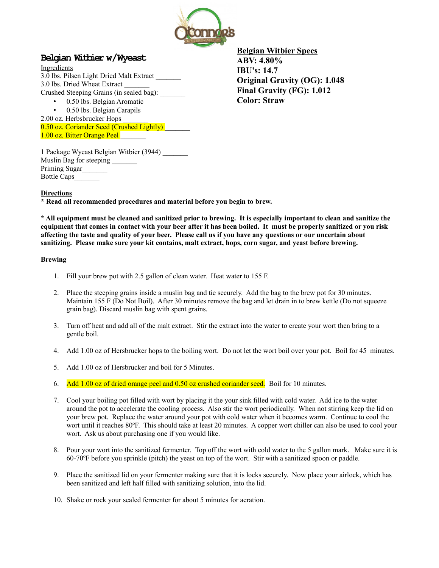

## **Belgian Witbier w/Wyeast**

Ingredients 3.0 lbs. Pilsen Light Dried Malt Extract \_\_\_\_\_\_\_ 3.0 lbs. Dried Wheat Extract Crushed Steeping Grains (in sealed bag): \_\_\_\_\_\_\_ • 0.50 lbs. Belgian Aromatic

• 0.50 lbs. Belgian Carapils

2.00 oz. Herbsbrucker Hops \_\_\_\_\_\_\_ 0.50 oz. Coriander Seed (Crushed Lightly) 1.00 oz. Bitter Orange Peel

**Belgian Witbier Specs ABV: 4.80% IBU's: 14.7 Original Gravity (OG): 1.048 Final Gravity (FG): 1.012 Color: Straw**

1 Package Wyeast Belgian Witbier (3944) Muslin Bag for steeping \_\_\_\_\_\_\_ Priming Sugar Bottle Caps\_\_\_\_\_\_\_

## **Directions**

**\* Read all recommended procedures and material before you begin to brew.**

**\* All equipment must be cleaned and sanitized prior to brewing. It is especially important to clean and sanitize the equipment that comes in contact with your beer after it has been boiled. It must be properly sanitized or you risk affecting the taste and quality of your beer. Please call us if you have any questions or our uncertain about sanitizing. Please make sure your kit contains, malt extract, hops, corn sugar, and yeast before brewing.**

## **Brewing**

- 1. Fill your brew pot with 2.5 gallon of clean water. Heat water to 155 F.
- 2. Place the steeping grains inside a muslin bag and tie securely. Add the bag to the brew pot for 30 minutes. Maintain 155 F (Do Not Boil). After 30 minutes remove the bag and let drain in to brew kettle (Do not squeeze grain bag). Discard muslin bag with spent grains.
- 3. Turn off heat and add all of the malt extract. Stir the extract into the water to create your wort then bring to a gentle boil.
- 4. Add 1.00 oz of Hersbrucker hops to the boiling wort. Do not let the wort boil over your pot. Boil for 45 minutes.
- 5. Add 1.00 oz of Hersbrucker and boil for 5 Minutes.
- 6. Add 1.00 oz of dried orange peel and 0.50 oz crushed coriander seed. Boil for 10 minutes.
- 7. Cool your boiling pot filled with wort by placing it the your sink filled with cold water. Add ice to the water around the pot to accelerate the cooling process. Also stir the wort periodically. When not stirring keep the lid on your brew pot. Replace the water around your pot with cold water when it becomes warm. Continue to cool the wort until it reaches 80ºF. This should take at least 20 minutes. A copper wort chiller can also be used to cool your wort. Ask us about purchasing one if you would like.
- 8. Pour your wort into the sanitized fermenter. Top off the wort with cold water to the 5 gallon mark. Make sure it is 60-70ºF before you sprinkle (pitch) the yeast on top of the wort. Stir with a sanitized spoon or paddle.
- 9. Place the sanitized lid on your fermenter making sure that it is locks securely. Now place your airlock, which has been sanitized and left half filled with sanitizing solution, into the lid.
- 10. Shake or rock your sealed fermenter for about 5 minutes for aeration.